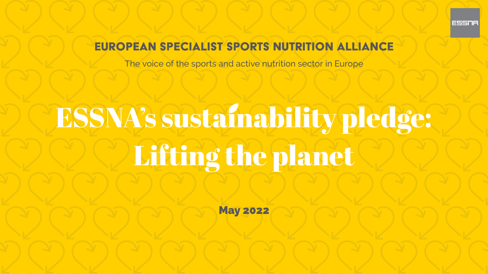# Lifting the planet ESSNA's sustainability pledge:

### **EUROPEAN SPECIALIST SPORTS NUTRITION ALLIANCE**

The voice of the sports and active nutrition sector in Europe

May 2022





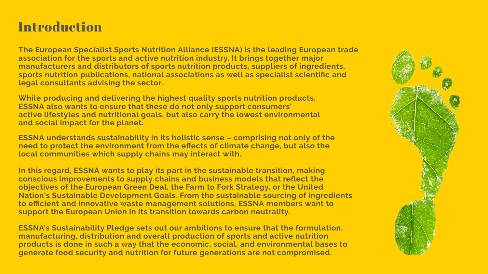## Introduction

**and the association for sports active nutrition industry. It brings together major The European the Specialist Sports Nutrition Alliance (ESSNA) is leading European trade of and manufacturers distributors sports nutrition products, suppliers of ingredients, sports nutrition publications, national associations as well as specialist scientifc and legal consultants advising the sector.**

**and the While producing delivering highest quality sports nutrition products, to ensure that ESSNA also wants these do not only support consumers' active lifestyles and nutritional goals, but also carry the lowest environmental and social impact for the planet.**

In this regard, ESSNA wants to play its part in the sustainable transition, making **members and to efcient innovative waste management solutions, ESSNA want to and supply the to conscious improvements chains business models that refect European the objectives of Green Deal, the Farm to Fork Strategy, or the United Nation's Sustainable Development Goals. From the sustainable sourcing of ingredients support the European Union in its transition towards carbon neutrality.**

**to need protect the environment from the efects of climate change, but also the ESSNA of the understands sustainability in its holistic sense – comprising not only which local communities supply chains may interact with.**

**ESSNA's Sustainability Pledge sets out our ambitions to ensure that the formulation, manufacturing, distribution and overall production of sports and active nutrition products is done in such a way that the economic, social, and environmental bases to generate food security and nutrition for future generations are not compromised.**

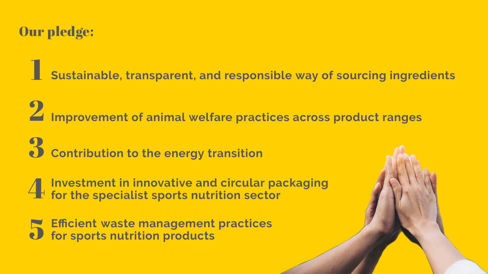# Our pledge:

**Sustainable, transparent, and responsible way of sourcing ingredients** 1

**Improvement of animal welfare practices across product ranges** 2

**Contribution to the energy transition** 3

**the Investment in innovative and circular packaging for specialist sports nutrition sector** 4

**for sports nutrition Efficient waste management practices products** 5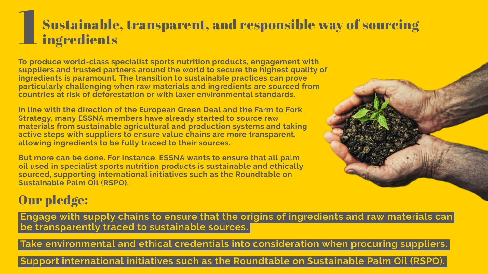### 1 Sustainable, transparent, and responsible way of sourcing ingredients

**particularly challenging when raw materials and ingredients are sourced from To with produce world-class specialist sports nutrition products, engagement and the to the of suppliers trusted partners around world secure highest quality The ingredients is paramount. transition to sustainable practices can prove countries at risk of deforestation or with laxer environmental standards.**

In line with the direction of the European Green Deal and the Farm to Fork **suppliers to are with active steps ensure value chains more transparent, Strategy, many ESSNA members have already started to source raw ingredients allowing to be fully traced to their sources. sustainable materials and from agricultural production systems and taking**

**in and sustainable oil used specialist sports nutrition products is ethically the sourced, supporting international initiatives such as Roundtable on ESSNA to But more can be done. For instance, wants ensure that all palm Sustainable Palm Oil (RSPO).**

### Our pledge:

Engage with supply chains to ensure that the origins of ingredients and raw materials can be transparently traced to sustainable sources.

Take environmental and ethical credentials into consideration when procuring suppliers.

Support international initiatives such as the Roundtable on Sustainable Palm Oil (RSPO).



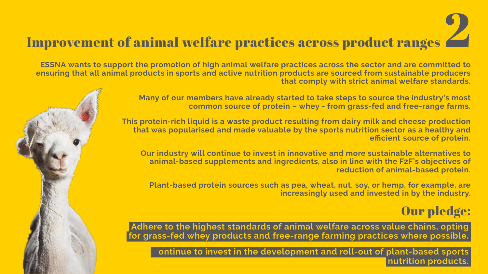## Improvement of animal welfare practices across product ranges

**ESSNA wants to support the promotion of high animal welfare practices across the sector and are committed to and animal ensuring that all products in sports active nutrition products are sourced from sustainable producers welfare with that comply strict animal standards.**

> **efficient source of protein. the that was popularised and made valuable by sports nutrition sector as a healthy and This protein-rich liquid is a waste product resulting from dairy milk and cheese production**

**members the to Many of our have already started take steps to source industry's most and from common source of protein – whey - grass-fed free-range farms.**

 $\tt{animal-based supplements}$  and  $\tt{ingredients},$  also in line with the F2F's objectives of **Our to to and industry will continue invest in innovative more sustainable alternatives of protein. reduction animal-based**

**and in the increasingly used invested by industry. Plant-based protein sources such as pea, wheat, nut, soy, or hemp, for example, are**

Adhere to the highest standards of animal welfare across value chains, opting for grass-fed whey products and free-range farming practices where possible.

ontinue to invest in the development and roll-out of plant-based sports





## Our pledge:

nutrition products.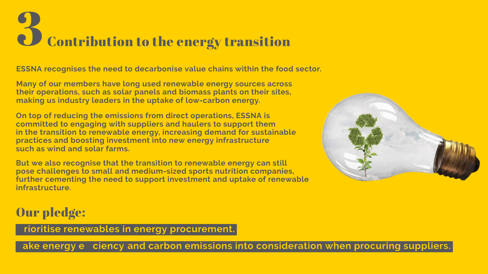# **2 Contribution to the energy transition**

**ESSNA recognises the need to decarbonise value chains within the food sector.**

**industry** leaders in the uptake of low-carbon energy. **Many** of our members have long used renewable energy sources across **their operations, such as solar panels and biomass plants on their sites,**

**On top of reducing the emissions from direct operations, ESSNA is renewable in the transition to energy, increasing demand for sustainable energy practices and boosting investment into new infrastructure such as solar wind and farms. and committed to engaging with suppliers haulers to support them**

**further cementing the need to support investment and uptake of renewable But** we also recognise that the transition to renewable energy can still **to and pose challenges small medium-sized sports nutrition companies, infrastructure.**



### Our pledge:

rioritise renewables in energy procurement.

ake energy e ciency and carbon emissions into consideration when procuring suppliers.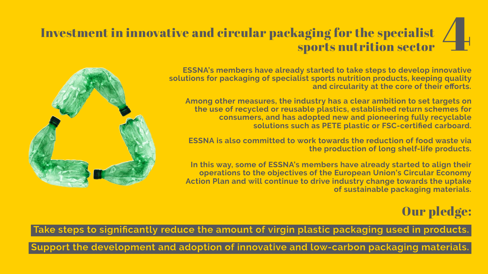### Investment in innovative and circular packaging for the specialist sports nutrition cialist<br>sector

**ESSNA's members have already started to take steps to develop innovative and circularity at the core of their efforts. of for solutions packaging specialist sports nutrition products, keeping quality**

**Among** other measures, the industry has a clear ambition to set targets on **and adopted new and pioneering fully recyclable consumers, has as plastic solutions such PETE or FSC-certifed carboard. use of recycled or reusable plastics, established return schemes for the**

**ESSNA** is also committed to work towards the reduction of food waste via **the** production of long shelf-life products.

In this way, some of ESSNA's members have already started to align their **and to towards the Action Plan will continue drive industry change uptake the to of the operations objectives European Union's Circular Economy sustainable packaging materials. of**



Take steps to significantly reduce the amount of virgin plastic packaging used in products.

Support the development and adoption of innovative and low-carbon packaging materials.

## Our pledge: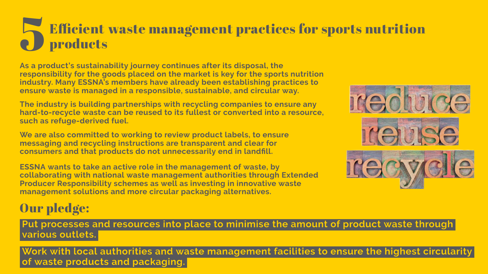### 5 Efficient waste management practices for sports nutrition products

**members to practices industry. Many ESSNA's have already been establishing in and ensure waste managed a responsible, sustainable, circular way. is the As a product's sustainability journey continues after its disposal, the responsibility for goods on market is placed the key for the sports nutrition**

**The industry is building partnerships with recycling companies to ensure any such as refuge-derived fuel. to hard-to-recycle waste can be reused its fullest or converted into a resource,**

# Our pledge:

Put processes and resources into place to minimise the amount of product waste through various outlets.

Work with local authorities and waste management facilities to ensure the highest circularity of waste products and packaging.









**ESSNA** wants to take an active role in the management of waste, by **and management solutions more circular packaging alternatives. through collaborating with national waste management authorities Extended Producer Responsibility schemes as well as investing in innovative waste**

**recycling messaging and instructions are transparent and clear for We are also committed to working to review product labels, to ensure consumers and that products do not unnecessarily end in landfll.**